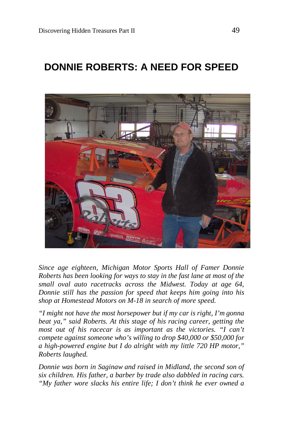# **DONNIE ROBERTS: A NEED FOR SPEED**



*Since age eighteen, Michigan Motor Sports Hall of Famer Donnie Roberts has been looking for ways to stay in the fast lane at most of the small oval auto racetracks across the Midwest. Today at age 64, Donnie still has the passion for speed that keeps him going into his shop at Homestead Motors on M-18 in search of more speed.*

*"I might not have the most horsepower but if my car is right, I'm gonna beat ya," said Roberts. At this stage of his racing career, getting the most out of his racecar is as important as the victories. "I can't compete against someone who's willing to drop \$40,000 or \$50,000 for a high-powered engine but I do alright with my little 720 HP motor," Roberts laughed.*

*Donnie was born in Saginaw and raised in Midland, the second son of six children. His father, a barber by trade also dabbled in racing cars. "My father wore slacks his entire life; I don't think he ever owned a*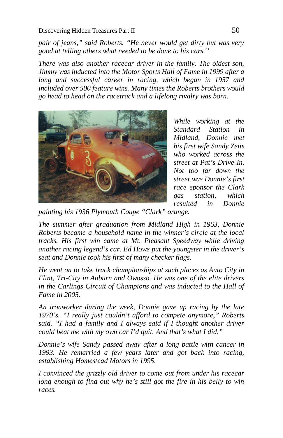*pair of jeans," said Roberts. "He never would get dirty but was very good at telling others what needed to be done to his cars."*

*There was also another racecar driver in the family. The oldest son, Jimmy was inducted into the Motor Sports Hall of Fame in 1999 after a long and successful career in racing, which began in 1957 and included over 500 feature wins. Many times the Roberts brothers would go head to head on the racetrack and a lifelong rivalry was born.*



*While working at the Standard Station in Midland, Donnie met his first wife Sandy Zeits who worked across the street at Pat's Drive-In. Not too far down the street was Donnie's first race sponsor the Clark gas station, which resulted in Donnie* 

*painting his 1936 Plymouth Coupe "Clark" orange.*

*The summer after graduation from Midland High in 1963, Donnie Roberts became a household name in the winner's circle at the local tracks. His first win came at Mt. Pleasant Speedway while driving another racing legend's car. Ed Howe put the youngster in the driver's seat and Donnie took his first of many checker flags.*

*He went on to take track championships at such places as Auto City in Flint, Tri-City in Auburn and Owosso. He was one of the elite drivers in the Carlings Circuit of Champions and was inducted to the Hall of Fame in 2005.*

*An ironworker during the week, Donnie gave up racing by the late 1970's. "I really just couldn't afford to compete anymore," Roberts said. "I had a family and I always said if I thought another driver could beat me with my own car I'd quit. And that's what I did."*

*Donnie's wife Sandy passed away after a long battle with cancer in 1993. He remarried a few years later and got back into racing, establishing Homestead Motors in 1995.*

*I convinced the grizzly old driver to come out from under his racecar long enough to find out why he's still got the fire in his belly to win races.*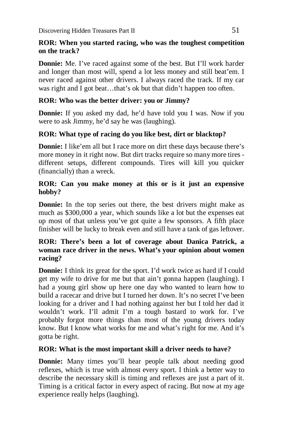### **ROR: When you started racing, who was the toughest competition on the track?**

**Donnie:** Me. I've raced against some of the best. But I'll work harder and longer than most will, spend a lot less money and still beat'em. I never raced against other drivers. I always raced the track. If my car was right and I got beat…that's ok but that didn't happen too often.

## **ROR: Who was the better driver: you or Jimmy?**

**Donnie:** If you asked my dad, he'd have told you I was. Now if you were to ask Jimmy, he'd say he was (laughing).

## **ROR: What type of racing do you like best, dirt or blacktop?**

**Donnie:** I like'em all but I race more on dirt these days because there's more money in it right now. But dirt tracks require so many more tires different setups, different compounds. Tires will kill you quicker (financially) than a wreck.

#### **ROR: Can you make money at this or is it just an expensive hobby?**

**Donnie:** In the top series out there, the best drivers might make as much as \$300,000 a year, which sounds like a lot but the expenses eat up most of that unless you've got quite a few sponsors. A fifth place finisher will be lucky to break even and still have a tank of gas leftover.

#### **ROR: There's been a lot of coverage about Danica Patrick, a woman race driver in the news. What's your opinion about women racing?**

**Donnie:** I think its great for the sport. I'd work twice as hard if I could get my wife to drive for me but that ain't gonna happen (laughing). I had a young girl show up here one day who wanted to learn how to build a racecar and drive but I turned her down. It's no secret I've been looking for a driver and I had nothing against her but I told her dad it wouldn't work. I'll admit I'm a tough bastard to work for. I've probably forgot more things than most of the young drivers today know. But I know what works for me and what's right for me. And it's gotta be right.

#### **ROR: What is the most important skill a driver needs to have?**

**Donnie:** Many times you'll hear people talk about needing good reflexes, which is true with almost every sport. I think a better way to describe the necessary skill is timing and reflexes are just a part of it. Timing is a critical factor in every aspect of racing. But now at my age experience really helps (laughing).